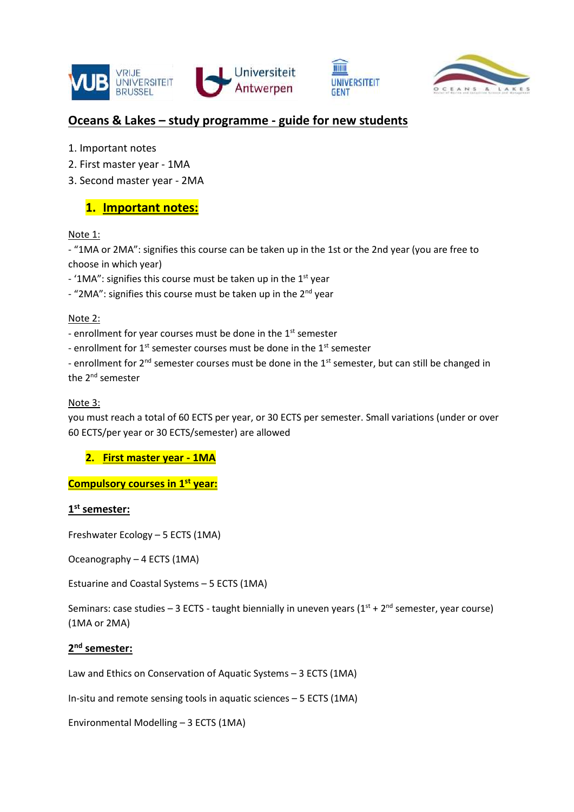





# **Oceans & Lakes – study programme - guide for new students**

- 1. Important notes
- 2. First master year 1MA
- 3. Second master year 2MA

# **1. Important notes:**

# Note 1:

- "1MA or 2MA": signifies this course can be taken up in the 1st or the 2nd year (you are free to choose in which year)

- '1MA": signifies this course must be taken up in the  $1<sup>st</sup>$  year

 $-$  "2MA": signifies this course must be taken up in the 2<sup>nd</sup> year

### Note 2:

- enrollment for year courses must be done in the 1<sup>st</sup> semester

- enrollment for  $1<sup>st</sup>$  semester courses must be done in the  $1<sup>st</sup>$  semester

- enrollment for 2<sup>nd</sup> semester courses must be done in the 1<sup>st</sup> semester, but can still be changed in the 2<sup>nd</sup> semester

### Note 3:

you must reach a total of 60 ECTS per year, or 30 ECTS per semester. Small variations (under or over 60 ECTS/per year or 30 ECTS/semester) are allowed

**2. First master year - 1MA**

**Compulsory courses in 1st year:**

# **1 st semester:**

Freshwater Ecology – 5 ECTS (1MA)

Oceanography – 4 ECTS (1MA)

Estuarine and Coastal Systems – 5 ECTS (1MA)

Seminars: case studies – 3 ECTS - taught biennially in uneven years  $(1^{st} + 2^{nd}$  semester, year course) (1MA or 2MA)

### **2 nd semester:**

Law and Ethics on Conservation of Aquatic Systems – 3 ECTS (1MA)

In-situ and remote sensing tools in aquatic sciences – 5 ECTS (1MA)

Environmental Modelling – 3 ECTS (1MA)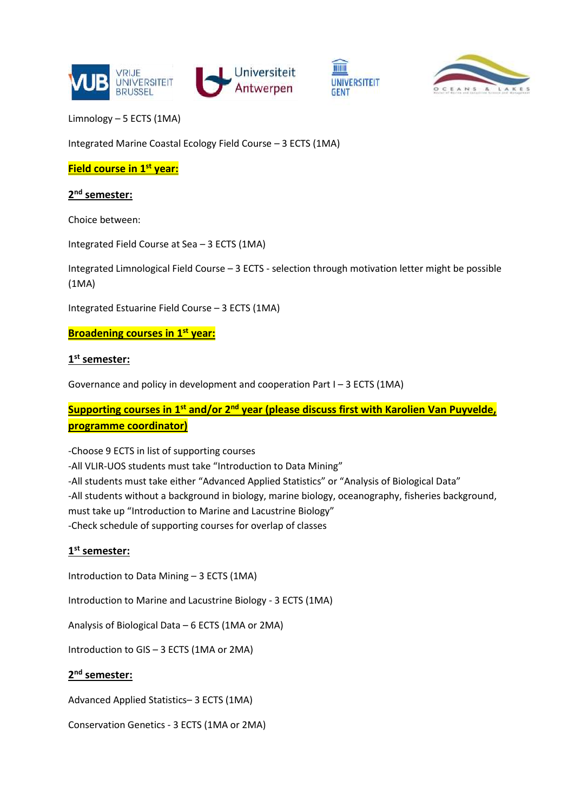





Limnology – 5 ECTS (1MA)

Integrated Marine Coastal Ecology Field Course – 3 ECTS (1MA)

**Field course in 1st year:**

**2 nd semester:**

Choice between:

Integrated Field Course at Sea – 3 ECTS (1MA)

Integrated Limnological Field Course – 3 ECTS - selection through motivation letter might be possible (1MA)

Integrated Estuarine Field Course – 3 ECTS (1MA)

#### **Broadening courses in 1st year:**

### **1 st semester:**

Governance and policy in development and cooperation Part I – 3 ECTS (1MA)

# **Supporting courses in 1 st and/or 2 nd year (please discuss first with Karolien Van Puyvelde, programme coordinator)**

-Choose 9 ECTS in list of supporting courses -All VLIR-UOS students must take "Introduction to Data Mining" -All students must take either "Advanced Applied Statistics" or "Analysis of Biological Data" -All students without a background in biology, marine biology, oceanography, fisheries background, must take up "Introduction to Marine and Lacustrine Biology" -Check schedule of supporting courses for overlap of classes

### **1 st semester:**

Introduction to Data Mining – 3 ECTS (1MA)

Introduction to Marine and Lacustrine Biology - 3 ECTS (1MA)

Analysis of Biological Data – 6 ECTS (1MA or 2MA)

Introduction to GIS – 3 ECTS (1MA or 2MA)

#### **2 nd semester:**

Advanced Applied Statistics– 3 ECTS (1MA)

Conservation Genetics - 3 ECTS (1MA or 2MA)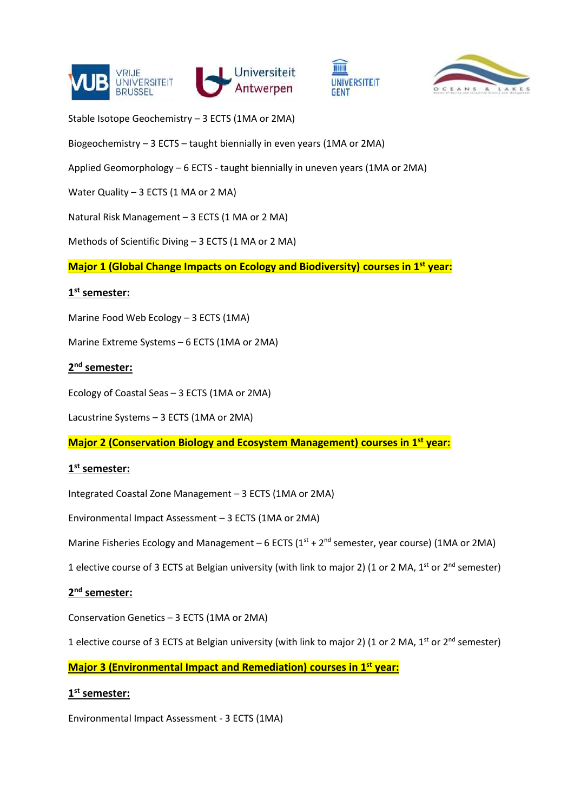





Stable Isotope Geochemistry – 3 ECTS (1MA or 2MA)

Biogeochemistry – 3 ECTS – taught biennially in even years (1MA or 2MA)

Applied Geomorphology – 6 ECTS - taught biennially in uneven years (1MA or 2MA)

Water Quality – 3 ECTS (1 MA or 2 MA)

Natural Risk Management – 3 ECTS (1 MA or 2 MA)

Methods of Scientific Diving – 3 ECTS (1 MA or 2 MA)

**Major 1 (Global Change Impacts on Ecology and Biodiversity) courses in 1st year:**

#### **1 st semester:**

Marine Food Web Ecology – 3 ECTS (1MA)

Marine Extreme Systems – 6 ECTS (1MA or 2MA)

### **2 nd semester:**

Ecology of Coastal Seas – 3 ECTS (1MA or 2MA)

Lacustrine Systems – 3 ECTS (1MA or 2MA)

**Major 2 (Conservation Biology and Ecosystem Management) courses in 1st year:**

### **1 st semester:**

Integrated Coastal Zone Management – 3 ECTS (1MA or 2MA)

Environmental Impact Assessment – 3 ECTS (1MA or 2MA)

Marine Fisheries Ecology and Management – 6 ECTS ( $1<sup>st</sup> + 2<sup>nd</sup>$  semester, year course) (1MA or 2MA)

1 elective course of 3 ECTS at Belgian university (with link to major 2) (1 or 2 MA, 1<sup>st</sup> or 2<sup>nd</sup> semester)

### **2 nd semester:**

Conservation Genetics – 3 ECTS (1MA or 2MA)

1 elective course of 3 ECTS at Belgian university (with link to major 2) (1 or 2 MA, 1<sup>st</sup> or 2<sup>nd</sup> semester)

**Major 3 (Environmental Impact and Remediation) courses in 1st year:**

#### **1 st semester:**

Environmental Impact Assessment - 3 ECTS (1MA)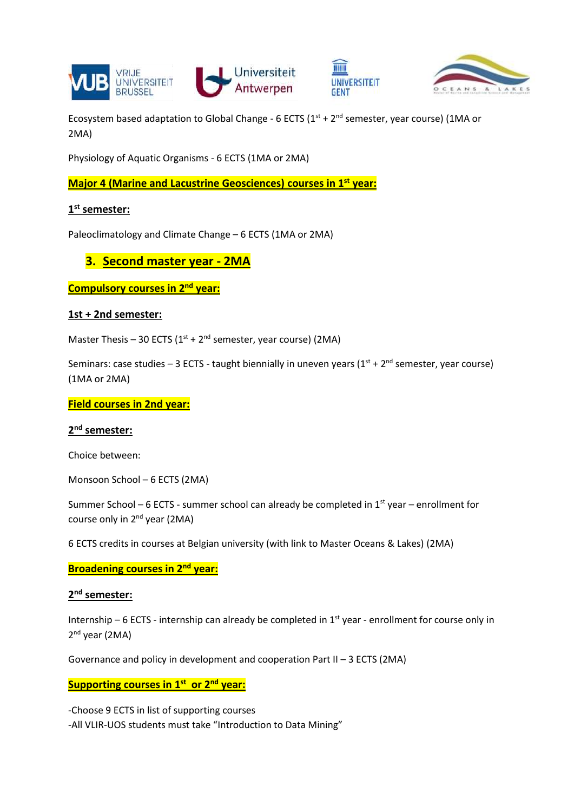



Ecosystem based adaptation to Global Change - 6 ECTS  $(1<sup>st</sup> + 2<sup>nd</sup>$  semester, year course) (1MA or 2MA)

mm

GENT

**UNIVERSITEIT** 

Physiology of Aquatic Organisms - 6 ECTS (1MA or 2MA)

**Major 4 (Marine and Lacustrine Geosciences) courses in 1st year:**

# **1 st semester:**

Paleoclimatology and Climate Change – 6 ECTS (1MA or 2MA)

# **3. Second master year - 2MA**

**Compulsory courses in 2nd year:**

#### **1st + 2nd semester:**

Master Thesis – 30 ECTS ( $1^{st}$  +  $2^{nd}$  semester, year course) (2MA)

Seminars: case studies – 3 ECTS - taught biennially in uneven years  $(1^{st} + 2^{nd}$  semester, year course) (1MA or 2MA)

**Field courses in 2nd year:**

### **2 nd semester:**

Choice between:

Monsoon School – 6 ECTS (2MA)

Summer School – 6 ECTS - summer school can already be completed in  $1<sup>st</sup>$  year – enrollment for course only in 2<sup>nd</sup> year (2MA)

6 ECTS credits in courses at Belgian university (with link to Master Oceans & Lakes) (2MA)

**Broadening courses in 2nd year:**

### **2 nd semester:**

Internship – 6 ECTS - internship can already be completed in  $1<sup>st</sup>$  year - enrollment for course only in 2<sup>nd</sup> year (2MA)

Governance and policy in development and cooperation Part II – 3 ECTS (2MA)

# **Supporting courses in 1 st or 2nd year:**

-Choose 9 ECTS in list of supporting courses -All VLIR-UOS students must take "Introduction to Data Mining"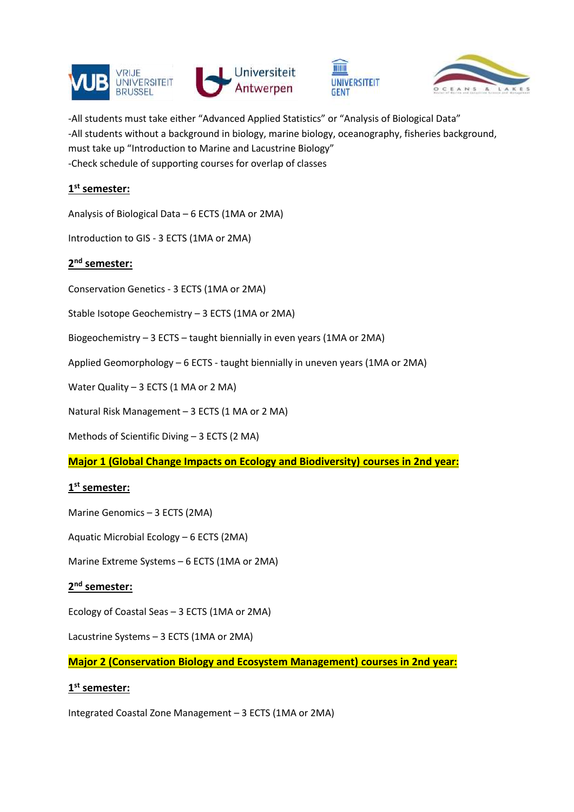







-All students must take either "Advanced Applied Statistics" or "Analysis of Biological Data" -All students without a background in biology, marine biology, oceanography, fisheries background, must take up "Introduction to Marine and Lacustrine Biology" -Check schedule of supporting courses for overlap of classes

# **1 st semester:**

Analysis of Biological Data – 6 ECTS (1MA or 2MA)

Introduction to GIS - 3 ECTS (1MA or 2MA)

# **2 nd semester:**

Conservation Genetics - 3 ECTS (1MA or 2MA)

Stable Isotope Geochemistry – 3 ECTS (1MA or 2MA)

Biogeochemistry – 3 ECTS – taught biennially in even years (1MA or 2MA)

Applied Geomorphology – 6 ECTS - taught biennially in uneven years (1MA or 2MA)

Water Quality - 3 ECTS (1 MA or 2 MA)

Natural Risk Management – 3 ECTS (1 MA or 2 MA)

Methods of Scientific Diving – 3 ECTS (2 MA)

**Major 1 (Global Change Impacts on Ecology and Biodiversity) courses in 2nd year:**

# **1 st semester:**

Marine Genomics – 3 ECTS (2MA)

Aquatic Microbial Ecology – 6 ECTS (2MA)

Marine Extreme Systems – 6 ECTS (1MA or 2MA)

### **2 nd semester:**

Ecology of Coastal Seas – 3 ECTS (1MA or 2MA)

Lacustrine Systems – 3 ECTS (1MA or 2MA)

**Major 2 (Conservation Biology and Ecosystem Management) courses in 2nd year:**

### **1 st semester:**

Integrated Coastal Zone Management – 3 ECTS (1MA or 2MA)